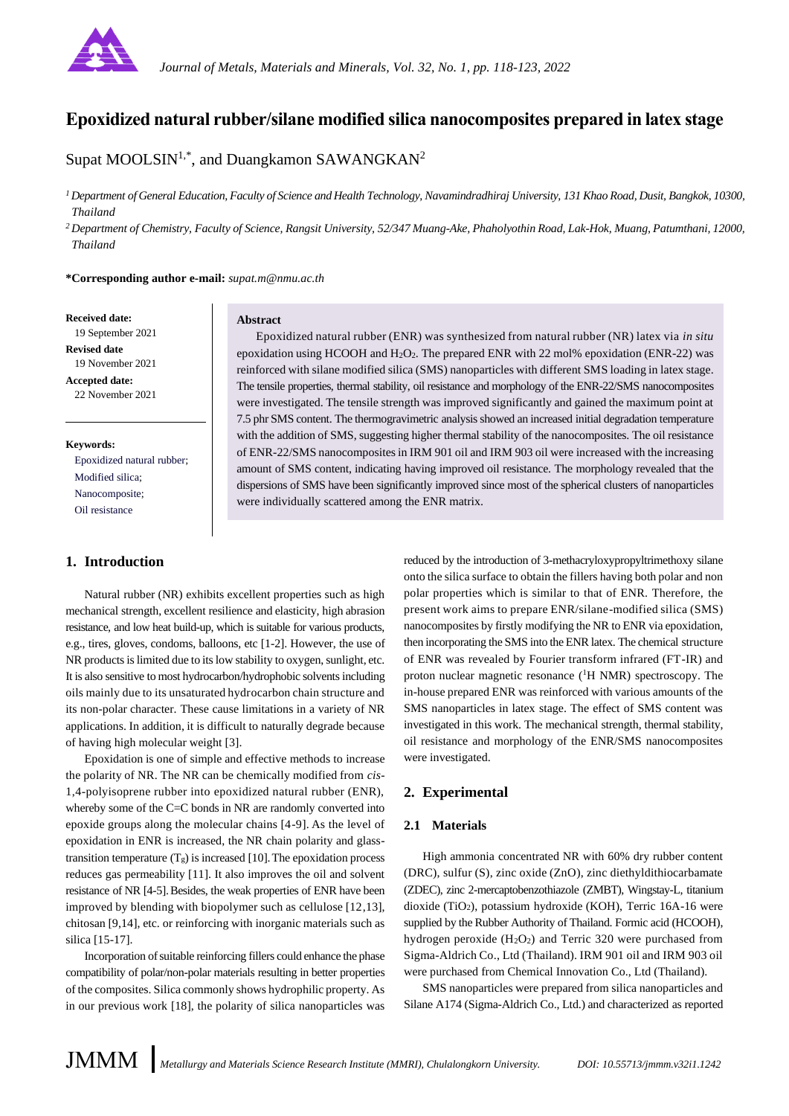

# **Epoxidized natural rubber/silane modified silica nanocomposites prepared in latex stage**

Supat MOOLSIN<sup>1,\*</sup>, and Duangkamon SAWANGKAN<sup>2</sup>

*<sup>1</sup>Department of General Education, Faculty of Science and Health Technology, Navamindradhiraj University, 131 Khao Road, Dusit, Bangkok, 10300, Thailand*

*<sup>2</sup>Department of Chemistry, Faculty of Science, Rangsit University, 52/347 Muang-Ake, Phaholyothin Road, Lak-Hok, Muang, Patumthani, 12000, Thailand*

**\*Corresponding author e-mail:** *supat.m@nmu.ac.th*

#### **Received date:**

19 September 2021 **Revised date** 19 November 2021 **Accepted date:** 22 November 2021

#### **Keywords:**

Epoxidized natural rubber; Modified silica; Nanocomposite; Oil resistance

# **1. Introduction**

Natural rubber (NR) exhibits excellent properties such as high mechanical strength, excellent resilience and elasticity, high abrasion resistance, and low heat build-up, which is suitable for various products, e.g., tires, gloves, condoms, balloons, etc [1-2]. However, the use of NR products is limited due to its low stability to oxygen, sunlight, etc. It is also sensitive to most hydrocarbon/hydrophobic solvents including oils mainly due to its unsaturated hydrocarbon chain structure and its non-polar character. These cause limitations in a variety of NR applications. In addition, it is difficult to naturally degrade because of having high molecular weight [3].

Epoxidation is one of simple and effective methods to increase the polarity of NR. The NR can be chemically modified from *cis*-1,4-polyisoprene rubber into epoxidized natural rubber (ENR), whereby some of the C=C bonds in NR are randomly converted into epoxide groups along the molecular chains [4-9]. As the level of epoxidation in ENR is increased, the NR chain polarity and glasstransition temperature  $(T_g)$  is increased [10]. The epoxidation process reduces gas permeability [11]. It also improves the oil and solvent resistance of NR [4-5]. Besides, the weak properties of ENR have been improved by blending with biopolymer such as cellulose [12,13], chitosan [9,14], etc. or reinforcing with inorganic materials such as silica [15-17].

Incorporation of suitable reinforcing fillers could enhance the phase compatibility of polar/non-polar materials resulting in better properties of the composites. Silica commonly shows hydrophilic property. As in our previous work [18], the polarity of silica nanoparticles was

#### **Abstract**

Epoxidized natural rubber (ENR) was synthesized from natural rubber (NR) latex via *in situ* epoxidation using HCOOH and H2O2. The prepared ENR with 22 mol% epoxidation (ENR-22) was reinforced with silane modified silica (SMS) nanoparticles with different SMS loading in latex stage. The tensile properties, thermal stability, oil resistance and morphology of the ENR-22/SMS nanocomposites were investigated. The tensile strength was improved significantly and gained the maximum point at 7.5 phr SMS content. The thermogravimetric analysis showed an increased initial degradation temperature with the addition of SMS, suggesting higher thermal stability of the nanocomposites. The oil resistance of ENR-22/SMS nanocomposites in IRM 901 oil and IRM 903 oil were increased with the increasing amount of SMS content, indicating having improved oil resistance. The morphology revealed that the dispersions of SMS have been significantly improved since most of the spherical clusters of nanoparticles were individually scattered among the ENR matrix.

> reduced by the introduction of 3-methacryloxypropyltrimethoxy silane onto the silica surface to obtain the fillers having both polar and non polar properties which is similar to that of ENR. Therefore, the present work aims to prepare ENR/silane-modified silica (SMS) nanocomposites by firstly modifying the NR to ENR via epoxidation, then incorporating the SMS into the ENR latex. The chemical structure of ENR was revealed by Fourier transform infrared (FT-IR) and proton nuclear magnetic resonance  $({}^{1}H$  NMR) spectroscopy. The in-house prepared ENR was reinforced with various amounts of the SMS nanoparticles in latex stage. The effect of SMS content was investigated in this work. The mechanical strength, thermal stability, oil resistance and morphology of the ENR/SMS nanocomposites were investigated.

# **2. Experimental**

# **2.1 Materials**

High ammonia concentrated NR with 60% dry rubber content (DRC), sulfur (S), zinc oxide (ZnO), zinc diethyldithiocarbamate (ZDEC), zinc 2-mercaptobenzothiazole (ZMBT), Wingstay-L, titanium dioxide (TiO<sub>2</sub>), potassium hydroxide (KOH), Terric 16A-16 were supplied by the Rubber Authority of Thailand. Formic acid (HCOOH), hydrogen peroxide (H2O2) and Terric 320 were purchased from Sigma-Aldrich Co., Ltd (Thailand). IRM 901 oil and IRM 903 oil were purchased from Chemical Innovation Co., Ltd (Thailand).

SMS nanoparticles were prepared from silica nanoparticles and Silane A174 (Sigma-Aldrich Co., Ltd.) and characterized as reported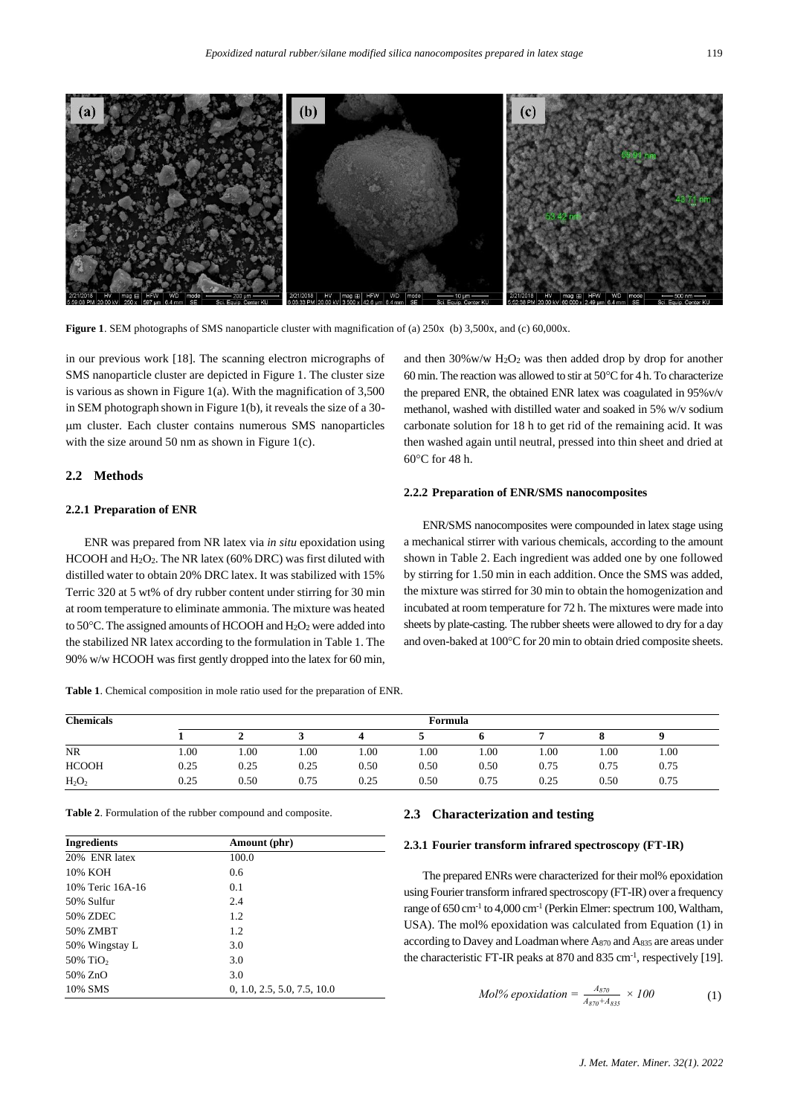

**Figure 1**. SEM photographs of SMS nanoparticle cluster with magnification of (a) 250x (b) 3,500x, and (c) 60,000x.

in our previous work [18]. The scanning electron micrographs of SMS nanoparticle cluster are depicted in Figure 1. The cluster size is various as shown in Figure 1(a). With the magnification of  $3,500$ in SEM photograph shown in Figure 1(b), it reveals the size of a 30 m cluster. Each cluster contains numerous SMS nanoparticles with the size around 50 nm as shown in Figure 1(c).

# **2.2 Methods**

## **2.2.1 Preparation of ENR**

ENR was prepared from NR latex via *in situ* epoxidation using HCOOH and H<sub>2</sub>O<sub>2</sub>. The NR latex (60% DRC) was first diluted with distilled water to obtain 20% DRC latex. It was stabilized with 15% Terric 320 at 5 wt% of dry rubber content under stirring for 30 min at room temperature to eliminate ammonia. The mixture was heated to 50 $^{\circ}$ C. The assigned amounts of HCOOH and H<sub>2</sub>O<sub>2</sub> were added into the stabilized NR latex according to the formulation in Table 1. The 90% w/w HCOOH was first gently dropped into the latex for 60 min, and then 30%w/w H2O<sup>2</sup> was then added drop by drop for another 60 min. The reaction was allowed to stir at  $50^{\circ}$ C for 4 h. To characterize the prepared ENR, the obtained ENR latex was coagulated in 95%v/v methanol, washed with distilled water and soaked in 5% w/v sodium carbonate solution for 18 h to get rid of the remaining acid. It was then washed again until neutral, pressed into thin sheet and dried at  $60^{\circ}$ C for 48 h.

### **2.2.2 Preparation of ENR/SMS nanocomposites**

ENR/SMS nanocomposites were compounded in latex stage using a mechanical stirrer with various chemicals, according to the amount shown in Table 2. Each ingredient was added one by one followed by stirring for 1.50 min in each addition. Once the SMS was added, the mixture was stirred for 30 min to obtain the homogenization and incubated at room temperature for 72 h. The mixtures were made into sheets by plate-casting. The rubber sheets were allowed to dry for a day and oven-baked at 100°C for 20 min to obtain dried composite sheets.

**Table 1**. Chemical composition in mole ratio used for the preparation of ENR.

| <b>Chemicals</b> | Formula |      |      |      |      |      |      |      |      |  |
|------------------|---------|------|------|------|------|------|------|------|------|--|
|                  |         |      |      |      |      |      |      |      |      |  |
| <b>NR</b>        | 1.00    | 0.00 | 1.00 | 1.00 | .00  | 1.00 | 1.00 | 1.00 | 00.1 |  |
| <b>HCOOH</b>     | 0.25    | 0.25 | 0.25 | 0.50 | 0.50 | 0.50 | 0.75 | 0.75 | 0.75 |  |
| $H_2O_2$         | 0.25    | 0.50 | 0.75 | 0.25 | 0.50 | 0.75 | 0.25 | 0.50 | 0.75 |  |

**Table 2**. Formulation of the rubber compound and composite.

| Ingredients             | Amount (phr)                |  |  |  |  |
|-------------------------|-----------------------------|--|--|--|--|
| 20% ENR latex           | 100.0                       |  |  |  |  |
| 10% KOH                 | 0.6                         |  |  |  |  |
| 10% Teric 16A-16        | 0.1                         |  |  |  |  |
| 50% Sulfur              | 2.4                         |  |  |  |  |
| 50% ZDEC                | 1.2                         |  |  |  |  |
| 50% ZMBT                | 1.2                         |  |  |  |  |
| 50% Wingstay L          | 3.0                         |  |  |  |  |
| $50\%$ TiO <sub>2</sub> | 3.0                         |  |  |  |  |
| 50% ZnO                 | 3.0                         |  |  |  |  |
| 10% SMS                 | 0, 1.0, 2.5, 5.0, 7.5, 10.0 |  |  |  |  |

#### **2.3 Characterization and testing**

# **2.3.1 Fourier transform infrared spectroscopy (FT-IR)**

The prepared ENRs were characterized for their mol% epoxidation using Fourier transform infrared spectroscopy (FT-IR) over a frequency range of 650 cm<sup>-1</sup> to 4,000 cm<sup>-1</sup> (Perkin Elmer: spectrum 100, Waltham, USA). The mol% epoxidation was calculated from Equation (1) in according to Davey and Loadmanwhere A<sup>870</sup> and A<sup>835</sup> are areas under the characteristic FT-IR peaks at 870 and 835 cm<sup>-1</sup>, respectively [19].

$$
Mol\%\,epsilon\nposition = \frac{A_{870}}{A_{870} + A_{835}} \times 100
$$
 (1)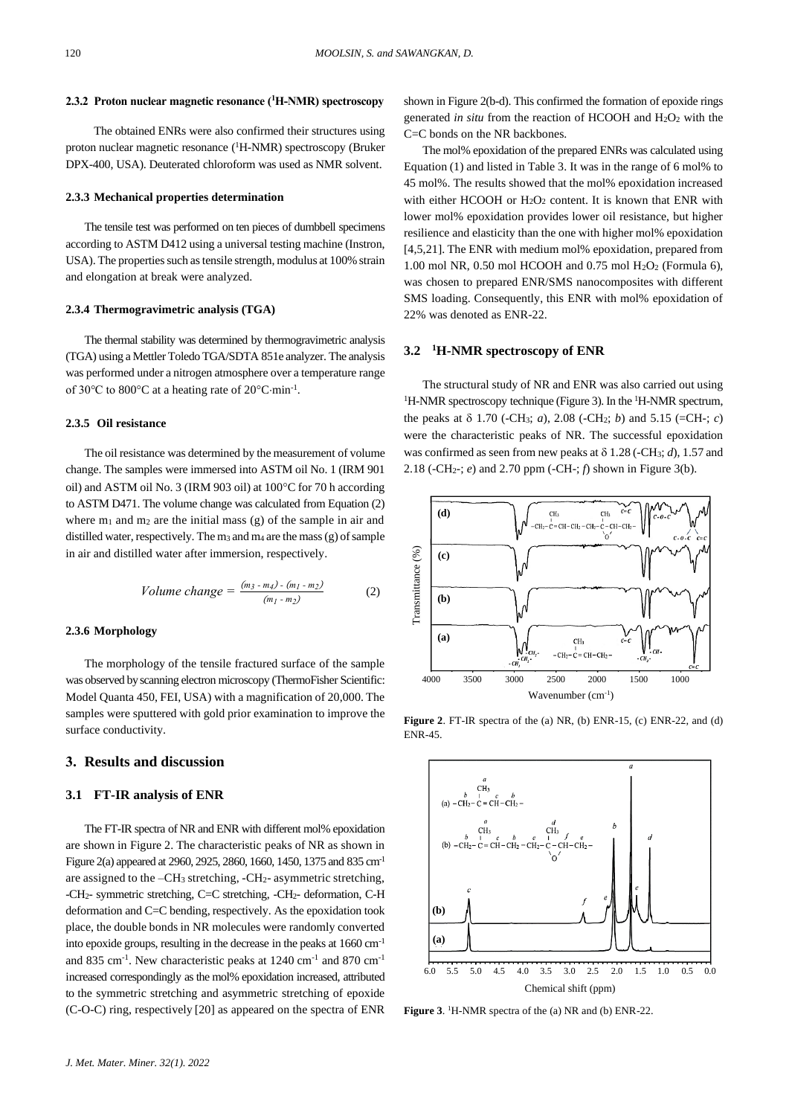#### **2.3.2 Proton nuclear magnetic resonance (<sup>1</sup>H-NMR) spectroscopy**

The obtained ENRs were also confirmed their structures using proton nuclear magnetic resonance (<sup>1</sup>H-NMR) spectroscopy (Bruker DPX-400, USA). Deuterated chloroform was used as NMR solvent.

#### **2.3.3 Mechanical properties determination**

The tensile test was performed on ten pieces of dumbbell specimens according to ASTM D412 using a universal testing machine (Instron, USA). The properties such as tensile strength, modulus at 100% strain and elongation at break were analyzed.

## **2.3.4 Thermogravimetric analysis (TGA)**

The thermal stability was determined by thermogravimetric analysis (TGA) using a Mettler Toledo TGA/SDTA 851e analyzer. The analysis was performed under a nitrogen atmosphere over a temperature range of 30 $\degree$ C to 800 $\degree$ C at a heating rate of 20 $\degree$ C·min<sup>-1</sup>.

#### **2.3.5 Oil resistance**

The oil resistance was determined by the measurement of volume change. The samples were immersed into ASTM oil No. 1 (IRM 901 oil) and ASTM oil No. 3 (IRM 903 oil) at 100°C for 70 h according to ASTM D471. The volume change was calculated from Equation (2) where  $m_1$  and  $m_2$  are the initial mass (g) of the sample in air and distilled water, respectively. The m<sup>3</sup> and m<sup>4</sup> are the mass (g) of sample in air and distilled water after immersion, respectively.

Volume change = 
$$
\frac{(m_3 - m_4) - (m_1 - m_2)}{(m_1 - m_2)}
$$
 (2)

#### **2.3.6 Morphology**

The morphology of the tensile fractured surface of the sample was observed by scanning electron microscopy (ThermoFisher Scientific: Model Quanta 450, FEI, USA) with a magnification of 20,000. The samples were sputtered with gold prior examination to improve the surface conductivity.

# **3. Results and discussion**

### **3.1 FT-IR analysis of ENR**

The FT-IR spectra of NR and ENR with different mol% epoxidation are shown in Figure 2. The characteristic peaks of NR as shown in Figure 2(a) appeared at 2960, 2925, 2860, 1660, 1450, 1375 and 835 cm-1 are assigned to the –CH<sup>3</sup> stretching, -CH2- asymmetric stretching, -CH2- symmetric stretching, C=C stretching, -CH2- deformation, C-H deformation and C=C bending, respectively. As the epoxidation took place, the double bonds in NR molecules were randomly converted into epoxide groups, resulting in the decrease in the peaks at 1660 cm-1 and 835 cm<sup>-1</sup>. New characteristic peaks at 1240 cm<sup>-1</sup> and 870 cm<sup>-1</sup> increased correspondingly as the mol% epoxidation increased, attributed to the symmetric stretching and asymmetric stretching of epoxide (C-O-C) ring, respectively [20] as appeared on the spectra of ENR

shown in Figure 2(b-d). This confirmed the formation of epoxide rings generated *in situ* from the reaction of HCOOH and H2O<sup>2</sup> with the C=C bonds on the NR backbones.

The mol% epoxidation of the prepared ENRs was calculated using Equation (1) and listed in Table 3. It was in the range of 6 mol% to 45 mol%. The results showed that the mol% epoxidation increased with either HCOOH or  $H_2O_2$  content. It is known that ENR with lower mol% epoxidation provides lower oil resistance, but higher resilience and elasticity than the one with higher mol% epoxidation [4,5,21]. The ENR with medium mol% epoxidation, prepared from 1.00 mol NR, 0.50 mol HCOOH and 0.75 mol H2O<sup>2</sup> (Formula 6), was chosen to prepared ENR/SMS nanocomposites with different SMS loading. Consequently, this ENR with mol% epoxidation of 22% was denoted as ENR-22.

#### **3.2 <sup>1</sup>H-NMR spectroscopy of ENR**

The structural study of NR and ENR was also carried out using  ${}^{1}$ H-NMR spectroscopy technique (Figure 3). In the  ${}^{1}$ H-NMR spectrum, the peaks at  $\delta$  1.70 (-CH<sub>3</sub>; *a*), 2.08 (-CH<sub>2</sub>; *b*) and 5.15 (=CH-; *c*) were the characteristic peaks of NR. The successful epoxidation was confirmed as seen from new peaks at  $\delta$  1.28 (-CH<sub>3</sub>; *d*), 1.57 and 2.18 (-CH2-; *e*) and 2.70 ppm (-CH-; *f*) shown in Figure 3(b).



**Figure 2**. FT-IR spectra of the (a) NR, (b) ENR-15, (c) ENR-22, and (d) ENR-45.



Figure 3. <sup>1</sup>H-NMR spectra of the (a) NR and (b) ENR-22.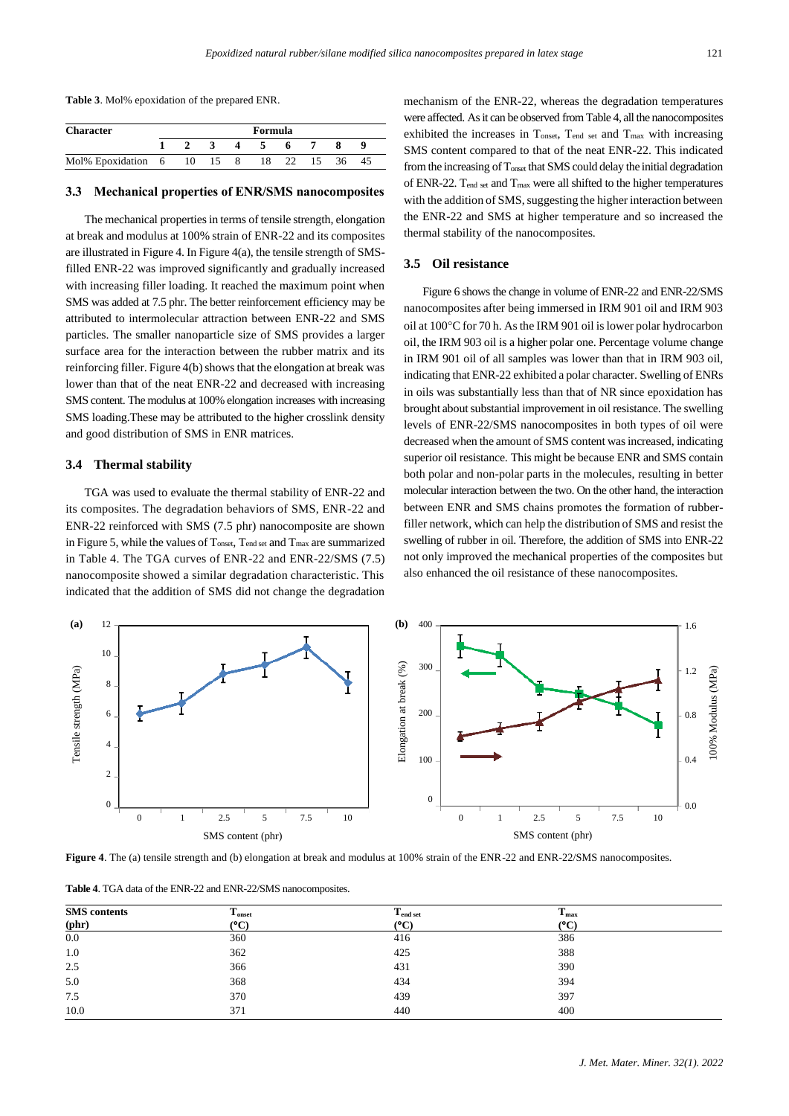**Table 3**. Mol% epoxidation of the prepared ENR.

| <b>Character</b>   | Formula |    |    |   |    |    |    |    |  |
|--------------------|---------|----|----|---|----|----|----|----|--|
|                    |         |    |    |   |    |    |    |    |  |
| Mol% Epoxidation 6 |         | 10 | 15 | 8 | 18 | 22 | 15 | 36 |  |

#### **3.3 Mechanical properties of ENR/SMS nanocomposites**

The mechanical properties in terms of tensile strength, elongation at break and modulus at 100% strain of ENR-22 and its composites are illustrated in Figure 4. In Figure 4(a), the tensile strength of SMSfilled ENR-22 was improved significantly and gradually increased with increasing filler loading. It reached the maximum point when SMS was added at 7.5 phr. The better reinforcement efficiency may be attributed to intermolecular attraction between ENR-22 and SMS particles. The smaller nanoparticle size of SMS provides a larger surface area for the interaction between the rubber matrix and its reinforcing filler. Figure 4(b) shows that the elongation at break was lower than that of the neat ENR-22 and decreased with increasing SMS content. The modulus at 100% elongation increases with increasing SMS loading.These may be attributed to the higher crosslink density and good distribution of SMS in ENR matrices.

# **3.4 Thermal stability**

TGA was used to evaluate the thermal stability of ENR-22 and its composites. The degradation behaviors of SMS, ENR-22 and ENR-22 reinforced with SMS (7.5 phr) nanocomposite are shown in Figure 5, while the values of Tonset, Tend set and Tmax are summarized in Table 4. The TGA curves of ENR-22 and ENR-22/SMS (7.5) nanocomposite showed a similar degradation characteristic. This indicated that the addition of SMS did not change the degradation mechanism of the ENR-22, whereas the degradation temperatures were affected. As it can be observed from Table 4, all the nanocomposites exhibited the increases in Tonset, Tend set and Tmax with increasing SMS content compared to that of the neat ENR-22. This indicated from the increasing of Tonset that SMS could delay the initial degradation of ENR-22. Tend set and Tmax were all shifted to the higher temperatures with the addition of SMS, suggesting the higher interaction between the ENR-22 and SMS at higher temperature and so increased the thermal stability of the nanocomposites.

# **3.5 Oil resistance**

Figure 6 shows the change in volume of ENR-22 and ENR-22/SMS nanocomposites after being immersed in IRM 901 oil and IRM 903 oil at 100°C for 70 h. As the IRM 901 oil is lower polar hydrocarbon oil, the IRM 903 oil is a higher polar one. Percentage volume change in IRM 901 oil of all samples was lower than that in IRM 903 oil, indicating that ENR-22 exhibited a polar character. Swelling of ENRs in oils was substantially less than that of NR since epoxidation has brought about substantial improvement in oil resistance. The swelling levels of ENR-22/SMS nanocomposites in both types of oil were decreased when the amount of SMS content was increased, indicating superior oil resistance. This might be because ENR and SMS contain both polar and non-polar parts in the molecules, resulting in better molecular interaction between the two. On the other hand, the interaction between ENR and SMS chains promotes the formation of rubberfiller network, which can help the distribution of SMS and resist the swelling of rubber in oil. Therefore, the addition of SMS into ENR-22 not only improved the mechanical properties of the composites but also enhanced the oil resistance of these nanocomposites.



**Figure 4**. The (a) tensile strength and (b) elongation at break and modulus at 100% strain of the ENR-22 and ENR-22/SMS nanocomposites.

| <b>SMS</b> contents<br>$(phr)$ | $T_{onset}$<br>$\rm ^{(o}C)$ | T <sub>end set</sub><br>$\rm ^{(o}C)$ | $T_{\rm max}$<br>(°C) |  |
|--------------------------------|------------------------------|---------------------------------------|-----------------------|--|
| 0.0                            | 360                          | 416                                   | 386                   |  |
| 1.0                            | 362                          | 425                                   | 388                   |  |
| 2.5                            | 366                          | 431                                   | 390                   |  |
| 5.0                            | 368                          | 434                                   | 394                   |  |
| 7.5                            | 370                          | 439                                   | 397                   |  |
| 10.0                           | 371                          | 440                                   | 400                   |  |

**Table 4**. TGA data of the ENR-22 and ENR-22/SMS nanocomposites.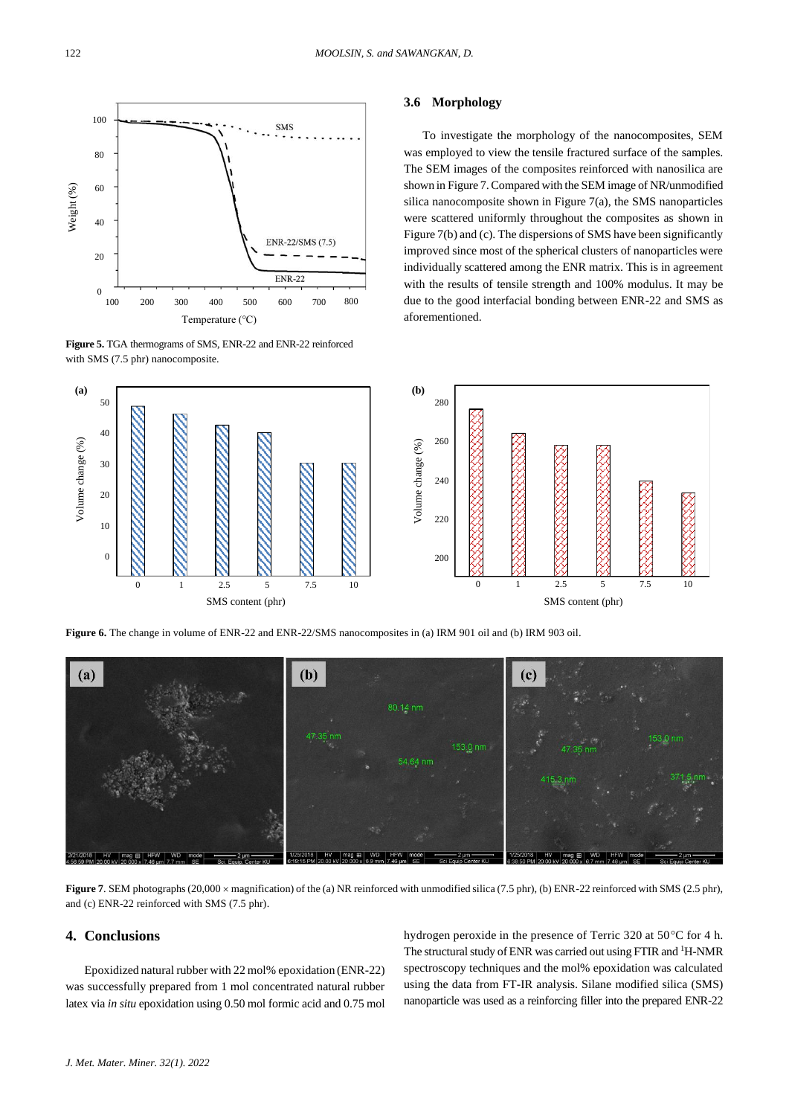

**Figure 5.** TGA thermograms of SMS, ENR-22 and ENR-22 reinforced with SMS (7.5 phr) nanocomposite.

### **3.6 Morphology**

To investigate the morphology of the nanocomposites, SEM was employed to view the tensile fractured surface of the samples. The SEM images of the composites reinforced with nanosilica are shown in Figure 7. Compared with the SEM image of NR/unmodified silica nanocomposite shown in Figure 7(a), the SMS nanoparticles were scattered uniformly throughout the composites as shown in Figure 7(b) and (c). The dispersions of SMS have been significantly improved since most of the spherical clusters of nanoparticles were individually scattered among the ENR matrix. This is in agreement with the results of tensile strength and 100% modulus. It may be due to the good interfacial bonding between ENR-22 and SMS as aforementioned.



**Figure 6.** The change in volume of ENR-22 and ENR-22/SMS nanocomposites in (a) IRM 901 oil and (b) IRM 903 oil.



**Figure 7**. SEM photographs (20,000  $\times$  magnification) of the (a) NR reinforced with unmodified silica (7.5 phr), (b) ENR-22 reinforced with SMS (2.5 phr), and (c) ENR-22 reinforced with SMS (7.5 phr).

# **4. Conclusions**

Epoxidized natural rubber with 22 mol% epoxidation (ENR-22) was successfully prepared from 1 mol concentrated natural rubber latex via *in situ* epoxidation using 0.50 mol formic acid and 0.75 mol hydrogen peroxide in the presence of Terric 320 at 50°C for 4 h. The structural study of ENR was carried out using FTIR and <sup>1</sup>H-NMR spectroscopy techniques and the mol% epoxidation was calculated using the data from FT-IR analysis. Silane modified silica (SMS) nanoparticle was used as a reinforcing filler into the prepared ENR-22